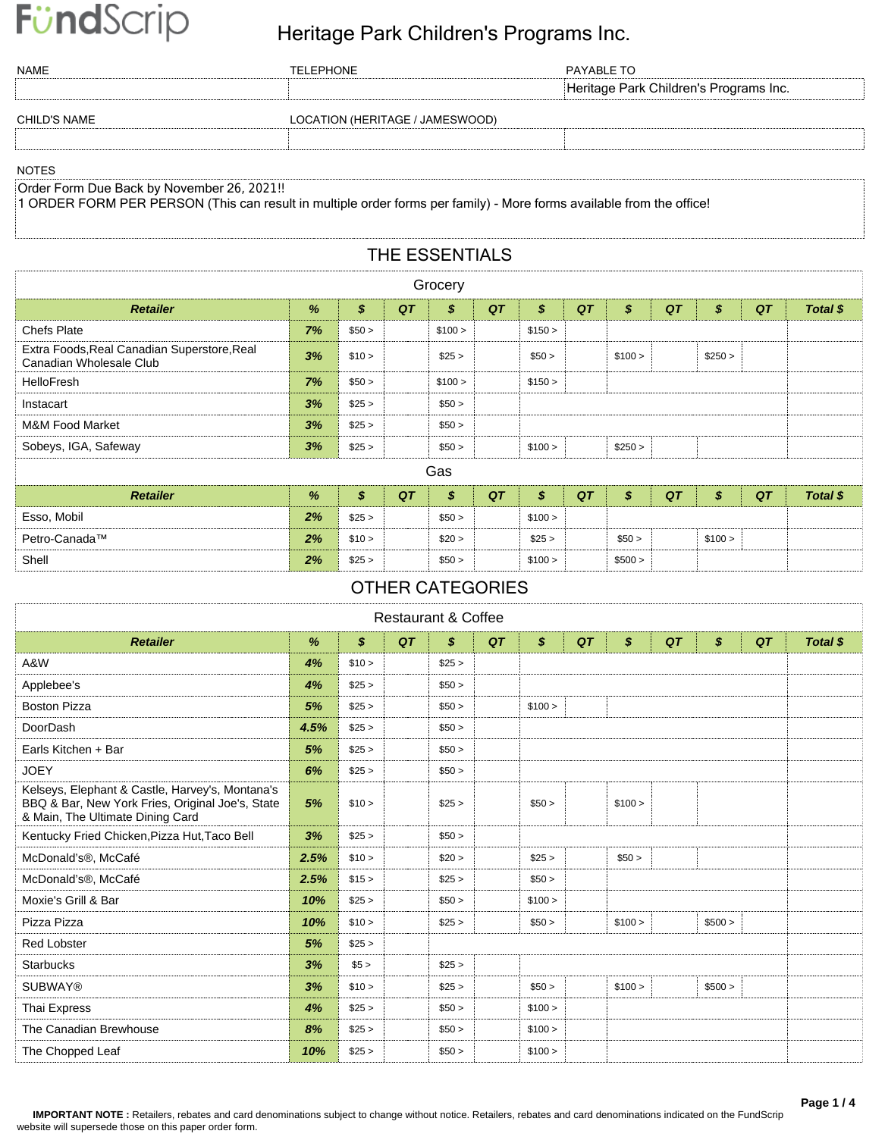### FündScrip Heritage Park Children's Programs Inc.

| NAME                                        | TELEPHONE                       | PAYABLE TO                             |
|---------------------------------------------|---------------------------------|----------------------------------------|
|                                             |                                 | Heritage Park Children's Programs Inc. |
| <b>CHILD'S NAME</b>                         | LOCATION (HERITAGE / JAMESWOOD) |                                        |
|                                             |                                 |                                        |
| <b>NOTES</b>                                |                                 |                                        |
| Order Form Due Back by November 26, 2021 II |                                 |                                        |

Order Form Due Back by November 26, 2021!!

1 ORDER FORM PER PERSON (This can result in multiple order forms per family) - More forms available from the office!

Shell *2%* \$25 > \$50 > \$100 > \$500 >

#### THE ESSENTIALS

| Grocery                                                                |    |        |    |         |    |                  |    |         |    |         |    |          |
|------------------------------------------------------------------------|----|--------|----|---------|----|------------------|----|---------|----|---------|----|----------|
| <b>Retailer</b>                                                        | %  | \$     | QT | \$      | QT | \$               | QT | \$      | QT | \$      | QT | Total \$ |
| <b>Chefs Plate</b>                                                     | 7% | \$50 > |    | \$100 > |    | \$150 >          |    |         |    |         |    |          |
| Extra Foods, Real Canadian Superstore, Real<br>Canadian Wholesale Club | 3% | \$10 > |    | \$25 >  |    | \$50 >           |    | \$100 > |    | \$250 > |    |          |
| <b>HelloFresh</b>                                                      | 7% | \$50 > |    | \$100 > |    | \$150 >          |    |         |    |         |    |          |
| Instacart                                                              | 3% | \$25 > |    | \$50 >  |    |                  |    |         |    |         |    |          |
| <b>M&amp;M Food Market</b>                                             | 3% | \$25 > |    | \$50 >  |    |                  |    |         |    |         |    |          |
| Sobeys, IGA, Safeway                                                   | 3% | \$25 > |    | \$50 >  |    | \$100 >          |    | \$250 > |    |         |    |          |
| Gas                                                                    |    |        |    |         |    |                  |    |         |    |         |    |          |
| <b>Retailer</b>                                                        | %  | \$     | QT | \$      | QT | $\boldsymbol{s}$ | QT | \$      | QT | \$      | QT | Total \$ |
| Esso, Mobil                                                            | 2% | \$25 > |    | \$50 >  |    | \$100 >          |    |         |    |         |    |          |
| Petro-Canada™                                                          | 2% | \$10 > |    | \$20 >  |    | \$25 >           |    | \$50 >  |    | \$100 > |    |          |

#### OTHER CATEGORIES

| <b>Restaurant &amp; Coffee</b>                                                                                                          |      |                           |    |        |    |         |    |         |    |         |    |          |
|-----------------------------------------------------------------------------------------------------------------------------------------|------|---------------------------|----|--------|----|---------|----|---------|----|---------|----|----------|
| <b>Retailer</b>                                                                                                                         | $\%$ | $\boldsymbol{\mathsf{s}}$ | QT | \$     | QT | \$      | QT | \$      | QT | \$      | QT | Total \$ |
| A&W                                                                                                                                     | 4%   | \$10 >                    |    | \$25 > |    |         |    |         |    |         |    |          |
| Applebee's                                                                                                                              | 4%   | \$25 >                    |    | \$50 > |    |         |    |         |    |         |    |          |
| <b>Boston Pizza</b>                                                                                                                     | 5%   | \$25 >                    |    | \$50 > |    | \$100 > |    |         |    |         |    |          |
| DoorDash                                                                                                                                | 4.5% | \$25 >                    |    | \$50 > |    |         |    |         |    |         |    |          |
| Earls Kitchen + Bar                                                                                                                     | 5%   | \$25 >                    |    | \$50 > |    |         |    |         |    |         |    |          |
| <b>JOEY</b>                                                                                                                             | 6%   | \$25 >                    |    | \$50 > |    |         |    |         |    |         |    |          |
| Kelseys, Elephant & Castle, Harvey's, Montana's<br>BBQ & Bar, New York Fries, Original Joe's, State<br>& Main, The Ultimate Dining Card | 5%   | \$10 >                    |    | \$25 > |    | \$50 >  |    | \$100 > |    |         |    |          |
| Kentucky Fried Chicken, Pizza Hut, Taco Bell                                                                                            | 3%   | \$25 >                    |    | \$50 > |    |         |    |         |    |         |    |          |
| McDonald's <sup>®</sup> , McCafé                                                                                                        | 2.5% | \$10 >                    |    | \$20 > |    | \$25 >  |    | \$50 >  |    |         |    |          |
| McDonald's <sup>®</sup> , McCafé                                                                                                        | 2.5% | \$15 >                    |    | \$25 > |    | \$50 >  |    |         |    |         |    |          |
| Moxie's Grill & Bar                                                                                                                     | 10%  | \$25 >                    |    | \$50 > |    | \$100 > |    |         |    |         |    |          |
| Pizza Pizza                                                                                                                             | 10%  | \$10 >                    |    | \$25 > |    | \$50 >  |    | \$100 > |    | \$500 > |    |          |
| <b>Red Lobster</b>                                                                                                                      | 5%   | \$25 >                    |    |        |    |         |    |         |    |         |    |          |
| <b>Starbucks</b>                                                                                                                        | 3%   | \$5 >                     |    | \$25 > |    |         |    |         |    |         |    |          |
| <b>SUBWAY®</b>                                                                                                                          | 3%   | \$10 >                    |    | \$25 > |    | \$50 >  |    | \$100 > |    | \$500 > |    |          |
| Thai Express                                                                                                                            | 4%   | \$25 >                    |    | \$50 > |    | \$100 > |    |         |    |         |    |          |
| The Canadian Brewhouse                                                                                                                  | 8%   | \$25 >                    |    | \$50 > |    | \$100 > |    |         |    |         |    |          |
| The Chopped Leaf                                                                                                                        | 10%  | \$25 >                    |    | \$50 > |    | \$100 > |    |         |    |         |    |          |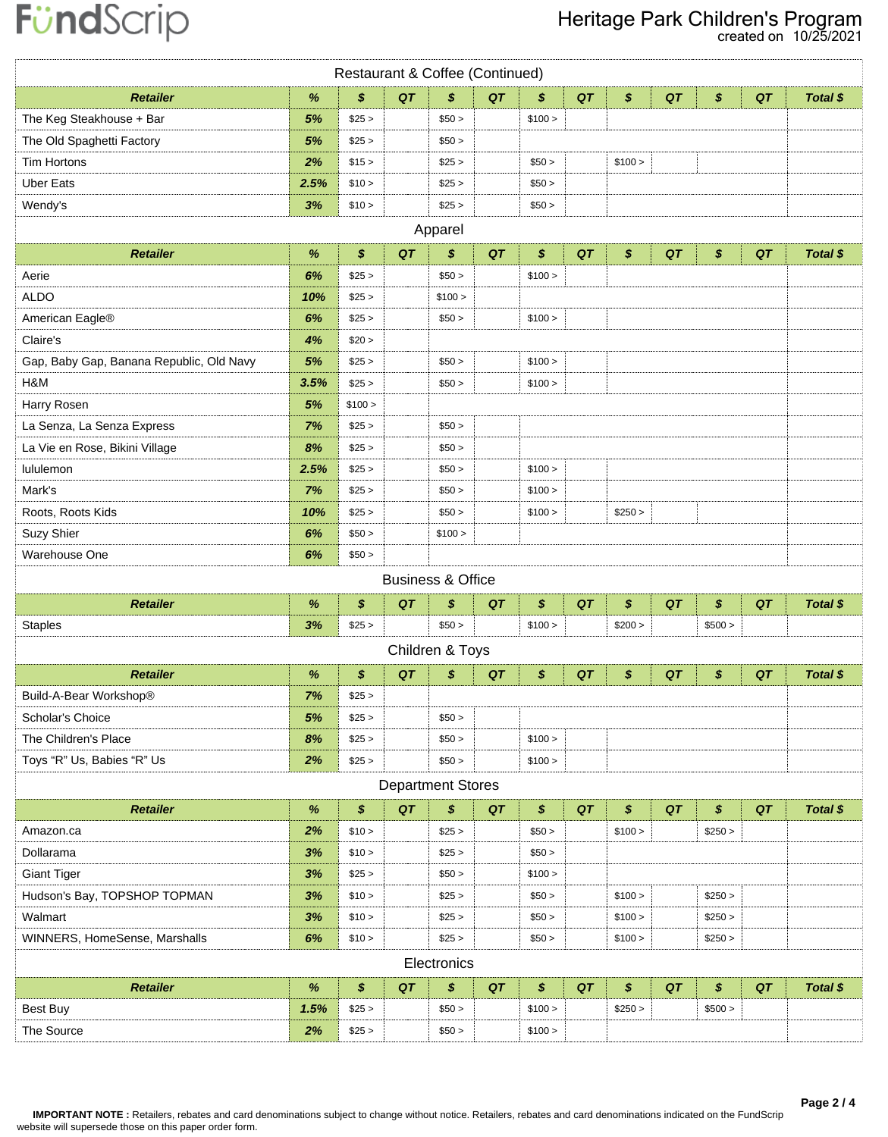# FündScrip

### Heritage Park Children's Program

created on 10/25/2021

| Restaurant & Coffee (Continued)          |      |         |    |                          |    |         |    |         |    |         |    |          |
|------------------------------------------|------|---------|----|--------------------------|----|---------|----|---------|----|---------|----|----------|
| <b>Retailer</b>                          | $\%$ | \$      | QT | \$                       | QT | \$      | QT | \$      | QT | \$      | QT | Total \$ |
| The Keg Steakhouse + Bar                 | 5%   | \$25 >  |    | \$50 >                   |    | \$100 > |    |         |    |         |    |          |
| The Old Spaghetti Factory                | 5%   | \$25 >  |    | \$50 >                   |    |         |    |         |    |         |    |          |
| <b>Tim Hortons</b>                       | 2%   | \$15 >  |    | \$25 >                   |    | \$50 >  |    | \$100 > |    |         |    |          |
| <b>Uber Eats</b>                         | 2.5% | \$10 >  |    | \$25 >                   |    | \$50 >  |    |         |    |         |    |          |
| Wendy's                                  | 3%   | \$10 >  |    | \$25 >                   |    | \$50 >  |    |         |    |         |    |          |
|                                          |      |         |    | Apparel                  |    |         |    |         |    |         |    |          |
| <b>Retailer</b>                          | $\%$ | \$      | QT | \$                       | QT | \$      | QT | \$      | QT | \$      | QT | Total \$ |
| Aerie                                    | 6%   | \$25 >  |    | \$50 >                   |    | \$100 > |    |         |    |         |    |          |
| <b>ALDO</b>                              | 10%  | \$25 >  |    | \$100 >                  |    |         |    |         |    |         |    |          |
| American Eagle®                          | 6%   | \$25 >  |    | \$50 >                   |    | \$100 > |    |         |    |         |    |          |
| Claire's                                 | 4%   | \$20 >  |    |                          |    |         |    |         |    |         |    |          |
| Gap, Baby Gap, Banana Republic, Old Navy | 5%   | \$25 >  |    | \$50 >                   |    | \$100 > |    |         |    |         |    |          |
| H&M                                      | 3.5% | \$25 >  |    | \$50 >                   |    | \$100 > |    |         |    |         |    |          |
| Harry Rosen                              | 5%   | \$100 > |    |                          |    |         |    |         |    |         |    |          |
| La Senza, La Senza Express               | 7%   | \$25 >  |    | \$50 >                   |    |         |    |         |    |         |    |          |
| La Vie en Rose, Bikini Village           | 8%   | \$25 >  |    | \$50 >                   |    |         |    |         |    |         |    |          |
| lululemon                                | 2.5% | \$25 >  |    | \$50 >                   |    | \$100 > |    |         |    |         |    |          |
| Mark's                                   | 7%   | \$25 >  |    | \$50 >                   |    | \$100 > |    |         |    |         |    |          |
| Roots, Roots Kids                        | 10%  | \$25 >  |    | \$50 >                   |    | \$100 > |    | \$250 > |    |         |    |          |
| Suzy Shier                               | 6%   | \$50 >  |    | \$100 >                  |    |         |    |         |    |         |    |          |
| Warehouse One                            | 6%   | \$50 >  |    |                          |    |         |    |         |    |         |    |          |
| <b>Business &amp; Office</b>             |      |         |    |                          |    |         |    |         |    |         |    |          |
| <b>Retailer</b>                          | $\%$ | \$      | QT | \$                       | QT | \$      | QT | \$      | QT | \$      | QT | Total \$ |
| <b>Staples</b>                           | 3%   | \$25 >  |    | \$50 >                   |    | \$100 > |    | \$200 > |    | \$500 > |    |          |
|                                          |      |         |    | Children & Toys          |    |         |    |         |    |         |    |          |
| <b>Retailer</b>                          | $\%$ | \$      | QT | \$                       | QT | \$      | QT | \$      | QT | \$      | QT | Total \$ |
| Build-A-Bear Workshop®                   | 7%   | \$25 >  |    |                          |    |         |    |         |    |         |    |          |
| Scholar's Choice                         | 5%   | \$25 >  |    | \$50 >                   |    |         |    |         |    |         |    |          |
| The Children's Place                     | 8%   | \$25 >  |    | \$50 >                   |    | \$100 > |    |         |    |         |    |          |
| Toys "R" Us, Babies "R" Us               | 2%   | \$25 >  |    | \$50 >                   |    | \$100 > |    |         |    |         |    |          |
|                                          |      |         |    | <b>Department Stores</b> |    |         |    |         |    |         |    |          |
| <b>Retailer</b>                          | $\%$ | \$      | QT | \$                       | QT | \$      | QT | \$      | QT | \$      | QT | Total \$ |
| Amazon.ca                                | 2%   | \$10 >  |    | \$25 >                   |    | \$50 >  |    | \$100 > |    | \$250 > |    |          |
| Dollarama                                | 3%   | \$10 >  |    | \$25 >                   |    | \$50 >  |    |         |    |         |    |          |
| <b>Giant Tiger</b>                       | 3%   | \$25 >  |    | \$50 >                   |    | \$100 > |    |         |    |         |    |          |
| Hudson's Bay, TOPSHOP TOPMAN             | 3%   | \$10 >  |    | \$25 >                   |    | \$50 >  |    | \$100 > |    | \$250 > |    |          |
| Walmart                                  | 3%   | \$10 >  |    | \$25 >                   |    | \$50 >  |    | \$100 > |    | \$250 > |    |          |
| WINNERS, HomeSense, Marshalls            | 6%   | \$10 >  |    | \$25 >                   |    | \$50 >  |    | \$100 > |    | \$250 > |    |          |
|                                          |      |         |    | Electronics              |    |         |    |         |    |         |    |          |
| <b>Retailer</b>                          | $\%$ | \$      | QT | \$                       | QT | \$      | QT | \$      | QT | \$      | QT | Total \$ |
| <b>Best Buy</b>                          | 1.5% | \$25 >  |    | \$50 >                   |    | \$100 > |    | \$250 > |    | \$500 > |    |          |
| The Source                               | 2%   | \$25 >  |    | \$50 >                   |    | \$100 > |    |         |    |         |    |          |
|                                          |      |         |    |                          |    |         |    |         |    |         |    |          |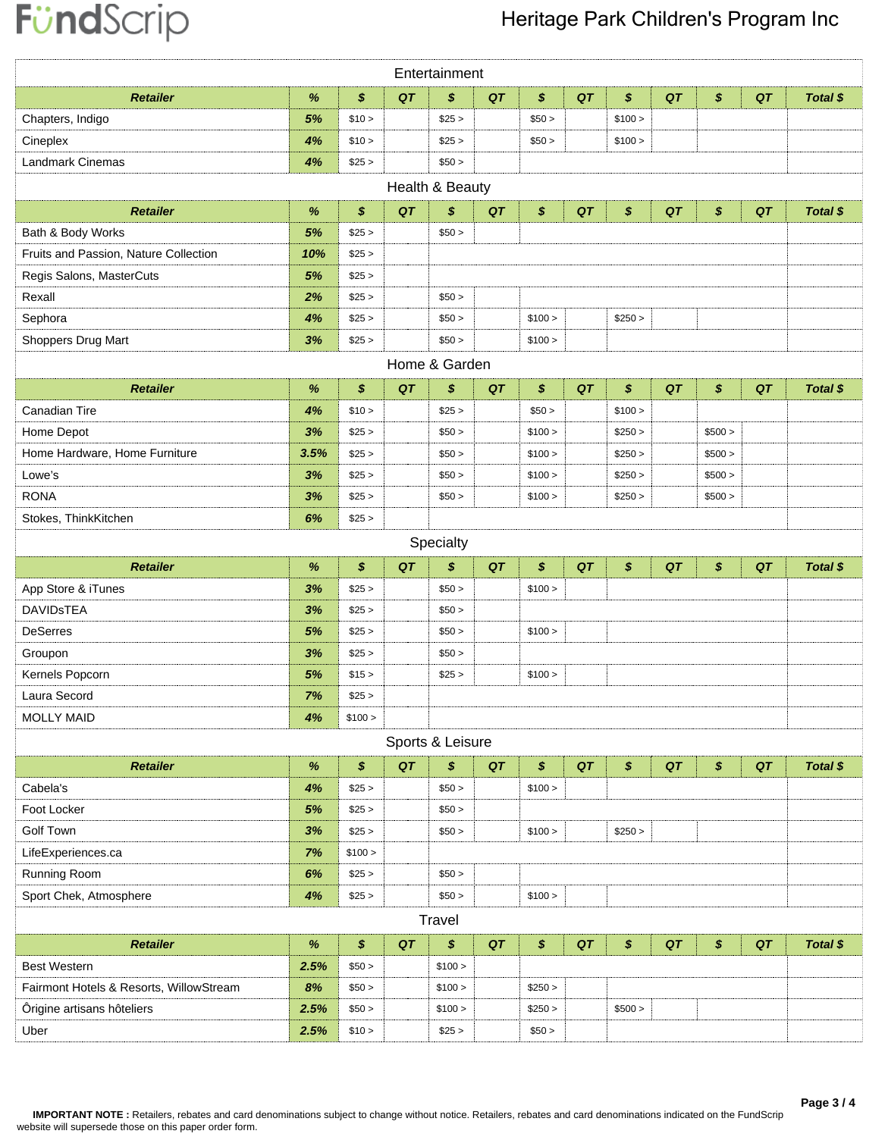# FündScrip

### Heritage Park Children's Program Inc

|                                         |      |                   |    | Entertainment    |    |         |    |         |    |         |    |          |
|-----------------------------------------|------|-------------------|----|------------------|----|---------|----|---------|----|---------|----|----------|
| <b>Retailer</b>                         | %    | \$                | QT | \$               | QT | \$      | QT | \$      | QT | \$      | QT | Total \$ |
| Chapters, Indigo                        | 5%   | \$10 >            |    | \$25 >           |    | \$50 >  |    | \$100 > |    |         |    |          |
| Cineplex                                | 4%   | \$10 >            |    | \$25 >           |    | \$50 >  |    | \$100 > |    |         |    |          |
| Landmark Cinemas                        | 4%   | \$25 >            |    | \$50 >           |    |         |    |         |    |         |    |          |
|                                         |      |                   |    | Health & Beauty  |    |         |    |         |    |         |    |          |
| <b>Retailer</b>                         | %    | $\boldsymbol{s}$  | QT | \$               | QT | \$      | QT | \$      | QT | \$      | QT | Total \$ |
| Bath & Body Works                       | 5%   | \$25 >            |    | \$50 >           |    |         |    |         |    |         |    |          |
| Fruits and Passion, Nature Collection   | 10%  | \$25 >            |    |                  |    |         |    |         |    |         |    |          |
| Regis Salons, MasterCuts                | 5%   | \$25 >            |    |                  |    |         |    |         |    |         |    |          |
| Rexall                                  | 2%   | \$25 >            |    | \$50 >           |    |         |    |         |    |         |    |          |
| Sephora                                 | 4%   | \$25 >            |    | \$50 >           |    | \$100 > |    | \$250 > |    |         |    |          |
| Shoppers Drug Mart                      | 3%   | \$25 >            |    | \$50 >           |    | \$100 > |    |         |    |         |    |          |
|                                         |      |                   |    | Home & Garden    |    |         |    |         |    |         |    |          |
| <b>Retailer</b>                         | %    | $\boldsymbol{\$}$ | QT | \$               | QT | \$      | QT | \$      | QT | \$      | QT | Total \$ |
| Canadian Tire                           | 4%   | \$10 >            |    | \$25 >           |    | \$50 >  |    | \$100 > |    |         |    |          |
| Home Depot                              | 3%   | \$25 >            |    | \$50 >           |    | \$100 > |    | \$250 > |    | \$500 > |    |          |
| Home Hardware, Home Furniture           | 3.5% | \$25 >            |    | \$50 >           |    | \$100 > |    | \$250 > |    | \$500 > |    |          |
| Lowe's                                  | 3%   | \$25 >            |    | \$50 >           |    | \$100 > |    | \$250 > |    | \$500 > |    |          |
| <b>RONA</b>                             | 3%   | \$25 >            |    | \$50 >           |    | \$100 > |    | \$250 > |    | \$500 > |    |          |
| Stokes, ThinkKitchen                    | 6%   | \$25 >            |    |                  |    |         |    |         |    |         |    |          |
|                                         |      |                   |    | Specialty        |    |         |    |         |    |         |    |          |
|                                         |      |                   |    |                  |    |         |    |         |    |         |    |          |
| <b>Retailer</b>                         | %    | \$                | QT | \$               | QT | \$      | QT | \$      | QT | \$      | QT | Total \$ |
| App Store & iTunes                      | 3%   | \$25 >            |    | \$50 >           |    | \$100 > |    |         |    |         |    |          |
| <b>DAVIDSTEA</b>                        | 3%   | \$25 >            |    | \$50 >           |    |         |    |         |    |         |    |          |
| <b>DeSerres</b>                         | 5%   | \$25 >            |    | \$50 >           |    | \$100 > |    |         |    |         |    |          |
| Groupon                                 | 3%   | \$25 >            |    | \$50 >           |    |         |    |         |    |         |    |          |
| Kernels Popcorn                         | 5%   | \$15 >            |    | \$25 >           |    | \$100 > |    |         |    |         |    |          |
| Laura Secord                            | 7%   | \$25 >            |    |                  |    |         |    |         |    |         |    |          |
| <b>MOLLY MAID</b>                       | 4%   | \$100 >           |    |                  |    |         |    |         |    |         |    |          |
|                                         |      |                   |    | Sports & Leisure |    |         |    |         |    |         |    |          |
| <b>Retailer</b>                         | $\%$ | \$                | QT | \$               | QT | \$      | QT | \$      | QT | \$      | QT | Total \$ |
| Cabela's                                | 4%   | \$25 >            |    | \$50 >           |    | \$100 > |    |         |    |         |    |          |
| Foot Locker                             | 5%   | \$25 >            |    | \$50 >           |    |         |    |         |    |         |    |          |
| <b>Golf Town</b>                        | 3%   | \$25 >            |    | \$50 >           |    | \$100 > |    | \$250 > |    |         |    |          |
| LifeExperiences.ca                      | 7%   | \$100 >           |    |                  |    |         |    |         |    |         |    |          |
| Running Room                            | 6%   | \$25 >            |    | \$50 >           |    |         |    |         |    |         |    |          |
| Sport Chek, Atmosphere                  | 4%   | \$25 >            |    | \$50 >           |    | \$100 > |    |         |    |         |    |          |
|                                         |      |                   |    | Travel           |    |         |    |         |    |         |    |          |
| <b>Retailer</b>                         | $\%$ | \$                | QT | \$               | QT | \$      | QT | \$      | QT | \$      | QT | Total \$ |
| <b>Best Western</b>                     | 2.5% | \$50 >            |    | \$100 >          |    |         |    |         |    |         |    |          |
| Fairmont Hotels & Resorts, WillowStream | 8%   | \$50 >            |    | \$100 >          |    | \$250 > |    |         |    |         |    |          |
| Ôrigine artisans hôteliers              | 2.5% | \$50 >            |    | \$100 >          |    | \$250 > |    | \$500 > |    |         |    |          |
| Uber                                    | 2.5% | \$10 >            |    | \$25 >           |    | \$50 >  |    |         |    |         |    |          |